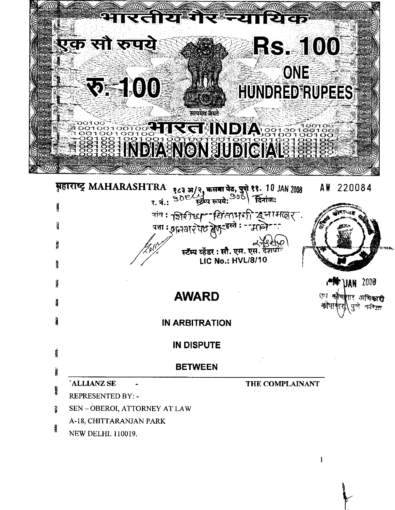

 $\mathbf{1}$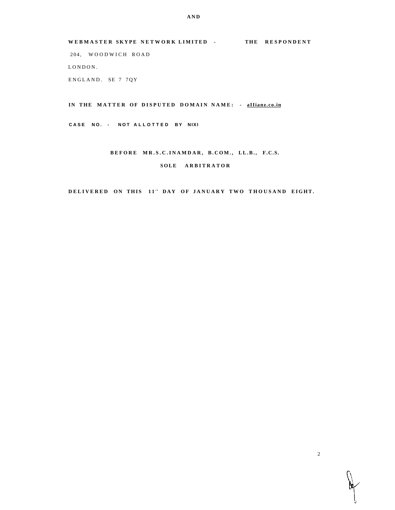WEBMASTER SKYPE NETWORK LIMITED - THE RESPONDENT 204, WOODWICH ROAD LONDON. ENGLAND. SE 7 7QY

IN THE MATTER OF DISPUTED DOMAIN NAME: - allianz.co.in

CASE NO. - NOT ALLOTTED BY NIXI

# BEFORE MR.S.C.INAMDAR, B.COM., LL.B., F.C.S. SOLE ARBITRATOR

DELIVERED ON THIS 11" DAY OF JANUARY TWO THOUSAND EIGHT.

 $\overline{2}$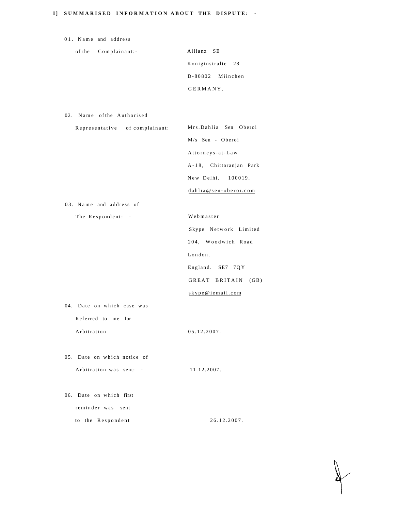## **I] SUMMARISE D INFORMATIO N ABOU T THE DISPUTE : -**

| 01. Name and address           |                         |
|--------------------------------|-------------------------|
| of the<br>Complainant:-        | Allianz SE              |
|                                | Koniginstralte<br>28    |
|                                | D-80802 Miinchen        |
|                                | GERMANY.                |
|                                |                         |
| 02. Name of the Authorised     |                         |
| Representative of complainant: | Mrs.Dahlia Sen Oberoi   |
|                                | M/s Sen - Oberoi        |
|                                | Attorneys-at-Law        |
|                                | A-18, Chittaranjan Park |
|                                | New Delhi. 100019.      |
|                                | dahlia@sen-oberoi.com   |
| 03. Name and address of        |                         |
| The Respondent: -              | Webmaster               |
|                                | Skype Network Limited   |
|                                | 204, Woodwich Road      |
|                                | London.                 |
|                                | England. SE7 7QY        |
|                                | GREAT BRITAIN (GB)      |
|                                | skype@iemail.com        |
| 04. Date on which case was     |                         |
| Referred to me for             |                         |
| Arbitration                    | 05.12.2007.             |
|                                |                         |
| 05. Date on which notice of    |                         |
| Arbitration was sent: -        | 11.12.2007.             |
|                                |                         |
| 06. Date on which first        |                         |
| reminder was<br>sent           |                         |
| to the Respondent              | 26.12.2007.             |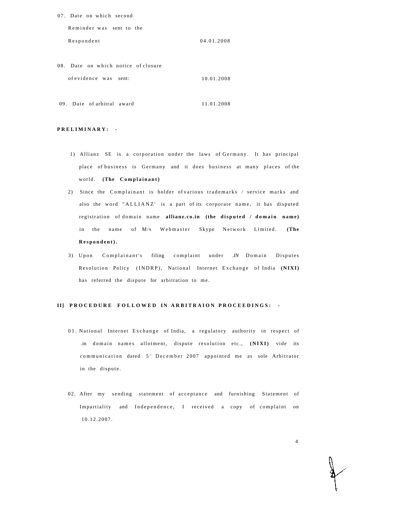| 07. Date on which second |            |
|--------------------------|------------|
| Reminder was sent to the |            |
| Respondent               | 04.01.2008 |

08. Date on which notice of closure of evidence was sent: 10.01.2008

09. Date of arbitral award 11.01.2008

#### **PRELIMINARY : -**

- 1) Allianz SE is a corporation under the laws of Germany. It has principal place of business is Germany and it does business at many places of the world. (The Complainant)
- 2) Since the Complainant is holder of various trademarks / service marks and also the word "ALLIANZ' is a part of its corporate name, it has disputed registration of domain name allianz.co.in (the disputed / domain name) in the name of M/s Webmaster Skype Network Limited. (The **Respondent).**
- 3) Upon Complainant's filing complaint under *.IN* Domain Disputes Resolution Policy (INDRP), National Internet Exchange of India (NIXI) has referred the dispute for arbitration to me.

### **II] PROCEDURE FOLLOWED IN ARBITRAION PROCEEDINGS: -**

- 01. National Internet Exchange of India, a regulatory authority in respect of .in domain names allotment, dispute resolution etc., (NIXI) vide its communication dated 5<sup>th</sup> December 2007 appointed me as sole Arbitrator in the dispute.
- 02. After my sending statement of acceptance and furnishing Statement of Impartiality and Independence, I received a copy of complaint on 10.12.2007 .

4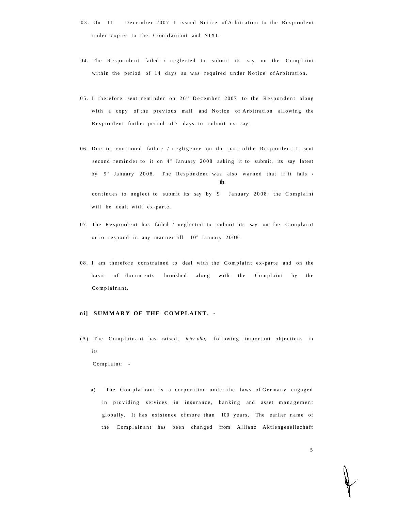- 03. On 11 December 2007 I issued Notice of Arbitration to the Respondent under copies to the Complainant and NIXI.
- 04. The Respondent failed / neglected to submit its say on the Complaint within the period of 14 days as was required under Notice of Arbitration.
- 05. I therefore sent reminder on 26<sup>th</sup> December 2007 to the Respondent along with a copy of the previous mail and Notice of Arbitration allowing the Respondent further period of 7 days to submit its say.
- 06. Due to continued failure / negligence on the part of the Respondent I sent second reminder to it on 4<sup>th</sup> January 2008 asking it to submit, its say latest by 9<sup>th</sup> January 2008. The Respondent was also warned that if it fails / **th**  continues to neglect to submit its say by 9 January 2008, the Complaint will be dealt with ex-parte.
- 07. The Respondent has failed / neglected to submit its say on the Complaint or to respond in any manner till  $10<sup>th</sup>$  January 2008.
- 08. I am therefore constrained to deal with the Complaint ex-parte and on the basis of documents furnished along with the Complaint by the Complainant.

### **ni] SUMMAR Y OF THE COMPLAINT. -**

(A) The Complainant has raised, *inter-alia*, following important objections in its

Complaint: -

a) The Complainant is a corporation under the laws of Germany engaged in providing services in insurance, banking and asset management globally. It has existence of more than 100 years. The earlier name of the Complainant has been changed from Allianz Aktiengesellschaft

5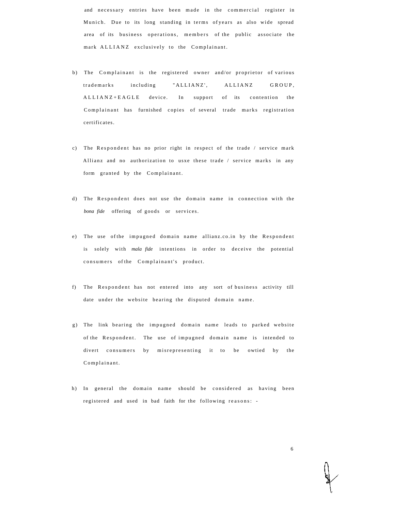and necessary entries have been made in the commercial register in Munich. Due to its long standing in terms of years as also wide spread area of its business operations, members of the public associate the mark ALLIANZ exclusively to the Complainant.

- b) The Complainant is the registered owner and/or proprietor of various trademarks including "ALLIANZ', ALLIANZ GROUP, ALLIANZ+EAGLE device. In support of its contention the Complainant has furnished copies of several trade marks registration certificates.
- c) The Respondent has no prior right in respect of the trade / service mark Allianz and no authorization to usxe these trade / service marks in any form granted by the Complainant.
- d) The Respondent does not use the domain name in connection with the *bona fide* offering of goods or services.
- e) The use of the impugned domain name allianz.co.in by the Respondent is solely with *mala fide* intentions in order to deceive the potential consumers of the Complainant's product.
- f) The Respondent has not entered into any sort of business activity till date under the website bearing the disputed domain name.
- g) The link bearing the impugned domain name leads to parked website of the Respondent. The use of impugned domain name is intended to divert consumers by misrepresenting it to be owtied by the Complainant.
- h) In general the domain name should be considered as having been registered and used in bad faith for the following reasons: -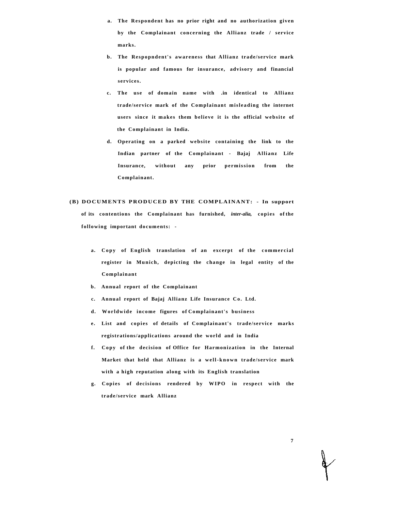- **a. The Respondent has no prior right and no authorization given by the Complainant concerning the Allianz trade / service marks.**
- **b. The Respopndent's awareness that Allianz trade/service mark is popular and famous for insurance, advisory and financial services.**
- **c. The us e of domain name with .in identical to Allianz trade/service mark of the Complainant misleading the internet**  users since it makes them believe it is the official website of **the Complainant in India.**
- **d. Operating on a parked websit e containing the link to the Indian partner of the Complainant - Bajaj Allianz Life Insurance, without any prior permission from the Complainant.**

# **(B) DOCUMENTS PRODUCED BY THE COMPLAINANT: - In support of its contentions the Complainant has furnished,** *inter-alia,* **copie s of the following important documents: -**

- a. Copy of English translation of an excerpt of the commercial **register in Munich, depicting the change in legal entity of the Complainant**
- **b. Annual report of the Complainant**
- **c. Annual report of Bajaj Allianz Life Insurance Co . Ltd.**
- **d. Worldwide income figures of Complainant's business**
- **e. List and copie s of details of Complainant's trade/servic e marks registrations/applications around the world and in India**
- **f. Copy of the decision of Office for Harmonization in the Internal Market that held that Allianz is a well-known trade/service mark with a high reputation along with its English translation**
- **g. Copie s of decisions rendered by WIPO in respect with the trade/service mark Allianz**

**7**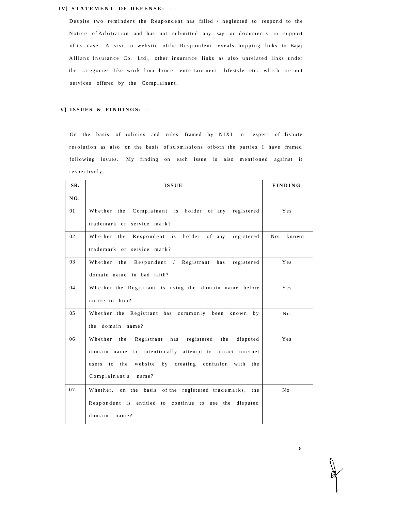#### **IV] STATEMENT OF DEFENSE: -**

Despite two reminders the Respondent has failed / neglected to respond to the Notice of Arbitration and has not submitted any say or documents in support of its case. A visit to website of the Respondent reveals hopping links to Bajaj Allianz Insurance Co. Ltd., other insurance links as also unrelated links under the categories like work from home, entertainment, lifestyle etc. which are not services offered by the Complainant.

### **V] ISSUE S & FINDINGS : -**

On the basis of policies and rules framed by NIXI in respect of dispute resolution as also on the basis of submissions of both the parties I have framed following issues. My finding on each issue is also mentioned against it respectively .

| SR. | <b>ISSUE</b>                                                      | <b>FINDING</b> |
|-----|-------------------------------------------------------------------|----------------|
| NO. |                                                                   |                |
| 01  | Complainant is holder of any registered<br>Whether the            | Yes            |
|     | trademark or service mark?                                        |                |
| 02  | Respondent is<br>holder of any<br>registered<br>Whether the       | Not<br>known   |
|     | trademark or service mark?                                        |                |
| 03  | Respondent / Registrant<br>Whether<br>has<br>registered<br>the    | Yes            |
|     | domain name in bad faith?                                         |                |
| 04  | Whether the Registrant is using the domain name before            | Yes            |
|     | notice to him?                                                    |                |
| 05  | Whether the Registrant has commonly been known<br>b <sub>V</sub>  | No             |
|     | the domain name?                                                  |                |
| 06  | Whether<br>the<br>Registrant<br>has<br>registered the<br>disputed | Yes            |
|     | domain name to intentionally attempt to attract internet          |                |
|     | website by creating confusion with the<br>the<br>users to         |                |
|     | Complainant's name?                                               |                |
| 07  | Whether, on the basis of the registered trademarks, the           | No             |
|     | Respondent is entitled to continue to use the<br>disputed         |                |
|     | domain name?                                                      |                |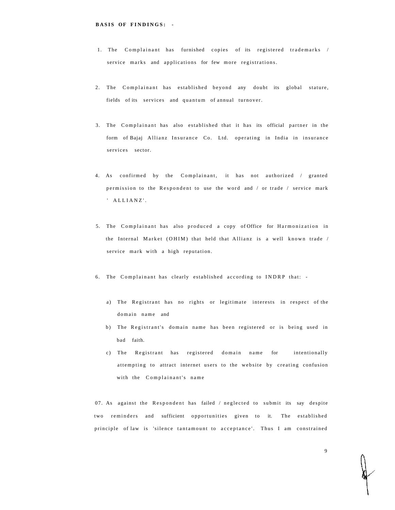- 1. The Complainant has furnished copies of its registered trademarks / service marks and applications for few more registrations.
- 2. The Complainant has established beyond any doubt its global stature, fields of its services and quantum of annual turnover.
- 3. The Complainant has also established that it has its official partner in the form of Bajaj Allianz Insurance Co. Ltd. operating in India in insurance services sector.
- 4. As confirmed by the Complainant, it has not authorized / granted permission to the Respondent to use the word and / or trade / service mark ' ALLIANZ' .
- 5. The Complainant has also produced a copy of Office for Harmonization in the Internal Market (OHIM) that held that Allianz is a well known trade / service mark with a high reputation.
- 6. The Complainant has clearly established according to INDRP that:
	- a) The Registrant has no rights or legitimate interests in respect of the domain name and
	- b) The Registrant's domain name has been registered or is being used in bad faith.
	- c) The Registrant has registered domain name for intentionally attempting to attract internet users to the website by creating confusion with the Complainant's name

07. As against the Respondent has failed  $/$  neglected to submit its say despite two reminders and sufficient opportunities given to it. The established principle of law is 'silence tantamount to acceptance'. Thus I am constrained

9